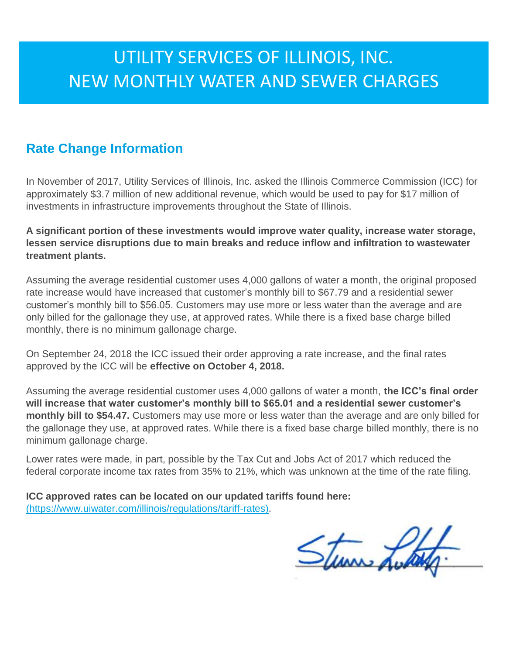# UTILITY SERVICES OF ILLINOIS, INC. NEW MONTHLY WATER AND SEWER CHARGES

### **Rate Change Information**

In November of 2017, Utility Services of Illinois, Inc. asked the Illinois Commerce Commission (ICC) for approximately \$3.7 million of new additional revenue, which would be used to pay for \$17 million of investments in infrastructure improvements throughout the State of Illinois.

#### **A significant portion of these investments would improve water quality, increase water storage, lessen service disruptions due to main breaks and reduce inflow and infiltration to wastewater treatment plants.**

Assuming the average residential customer uses 4,000 gallons of water a month, the original proposed rate increase would have increased that customer's monthly bill to \$67.79 and a residential sewer customer's monthly bill to \$56.05. Customers may use more or less water than the average and are only billed for the gallonage they use, at approved rates. While there is a fixed base charge billed monthly, there is no minimum gallonage charge.

On September 24, 2018 the ICC issued their order approving a rate increase, and the final rates approved by the ICC will be **effective on October 4, 2018.**

Assuming the average residential customer uses 4,000 gallons of water a month, **the ICC's final order will increase that water customer's monthly bill to \$65.01 and a residential sewer customer's monthly bill to \$54.47.** Customers may use more or less water than the average and are only billed for the gallonage they use, at approved rates. While there is a fixed base charge billed monthly, there is no minimum gallonage charge.

Lower rates were made, in part, possible by the Tax Cut and Jobs Act of 2017 which reduced the federal corporate income tax rates from 35% to 21%, which was unknown at the time of the rate filing.

**ICC approved rates can be located on our updated tariffs found here:**  [\(https://www.uiwater.com/illinois/regulations/tariff-rates\).](https://www.uiwater.com/illinois/regulations/tariff-rates)

Sturm Luck